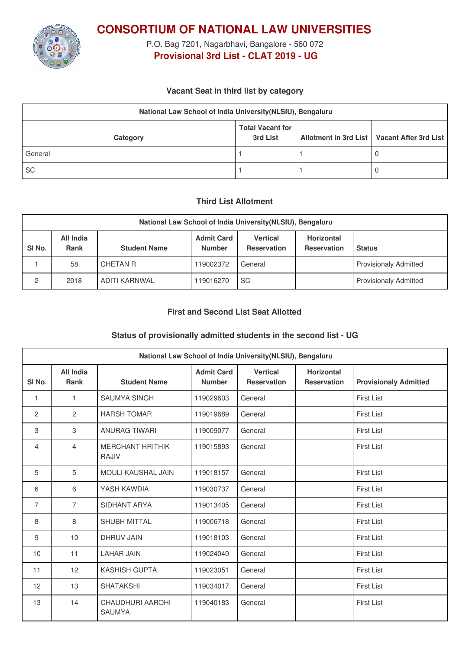

**CONSORTIUM OF NATIONAL LAW UNIVERSITIES**

P.O. Bag 7201, Nagarbhavi, Bangalore - 560 072 **Provisional 3rd List - CLAT 2019 - UG**

#### **Vacant Seat in third list by category**

| National Law School of India University (NLSIU), Bengaluru |                                     |  |                                               |  |  |
|------------------------------------------------------------|-------------------------------------|--|-----------------------------------------------|--|--|
| Category                                                   | <b>Total Vacant for</b><br>3rd List |  | Allotment in 3rd List   Vacant After 3rd List |  |  |
| General                                                    |                                     |  |                                               |  |  |
| <b>SC</b>                                                  |                                     |  |                                               |  |  |

#### **Third List Allotment**

| National Law School of India University (NLSIU), Bengaluru |                          |                     |                                    |                                       |                                         |                              |
|------------------------------------------------------------|--------------------------|---------------------|------------------------------------|---------------------------------------|-----------------------------------------|------------------------------|
| SI <sub>No.</sub>                                          | All India<br><b>Rank</b> | <b>Student Name</b> | <b>Admit Card</b><br><b>Number</b> | <b>Vertical</b><br><b>Reservation</b> | <b>Horizontal</b><br><b>Reservation</b> | <b>Status</b>                |
|                                                            | 58                       | CHETAN R            | 119002372                          | General                               |                                         | <b>Provisionaly Admitted</b> |
| 2                                                          | 2018                     | ADITI KARNWAL       | 119016270                          | <b>SC</b>                             |                                         | <b>Provisionaly Admitted</b> |

## **First and Second List Seat Allotted**

## **Status of provisionally admitted students in the second list - UG**

| National Law School of India University (NLSIU), Bengaluru |                          |                                          |                                    |                                       |                                         |                              |
|------------------------------------------------------------|--------------------------|------------------------------------------|------------------------------------|---------------------------------------|-----------------------------------------|------------------------------|
| SI <sub>No.</sub>                                          | All India<br><b>Rank</b> | <b>Student Name</b>                      | <b>Admit Card</b><br><b>Number</b> | <b>Vertical</b><br><b>Reservation</b> | <b>Horizontal</b><br><b>Reservation</b> | <b>Provisionaly Admitted</b> |
| $\mathbf{1}$                                               | 1                        | <b>SAUMYA SINGH</b>                      | 119029603                          | General                               |                                         | <b>First List</b>            |
| 2                                                          | 2                        | <b>HARSH TOMAR</b>                       | 119019689                          | General                               |                                         | <b>First List</b>            |
| 3                                                          | 3                        | <b>ANURAG TIWARI</b>                     | 119009077                          | General                               |                                         | <b>First List</b>            |
| $\overline{4}$                                             | 4                        | <b>MERCHANT HRITHIK</b><br><b>RAJIV</b>  | 119015893                          | General                               |                                         | <b>First List</b>            |
| 5                                                          | 5                        | <b>MOULI KAUSHAL JAIN</b>                | 119018157                          | General                               |                                         | <b>First List</b>            |
| 6                                                          | 6                        | YASH KAWDIA                              | 119030737                          | General                               |                                         | <b>First List</b>            |
| $\overline{7}$                                             | $\overline{7}$           | SIDHANT ARYA                             | 119013405                          | General                               |                                         | <b>First List</b>            |
| 8                                                          | 8                        | <b>SHUBH MITTAL</b>                      | 119006718                          | General                               |                                         | <b>First List</b>            |
| 9                                                          | 10 <sup>1</sup>          | DHRUV JAIN                               | 119018103                          | General                               |                                         | <b>First List</b>            |
| 10                                                         | 11                       | <b>LAHAR JAIN</b>                        | 119024040                          | General                               |                                         | <b>First List</b>            |
| 11                                                         | 12                       | <b>KASHISH GUPTA</b>                     | 119023051                          | General                               |                                         | <b>First List</b>            |
| 12                                                         | 13                       | <b>SHATAKSHI</b>                         | 119034017                          | General                               |                                         | <b>First List</b>            |
| 13                                                         | 14                       | <b>CHAUDHURI AAROHI</b><br><b>SAUMYA</b> | 119040183                          | General                               |                                         | <b>First List</b>            |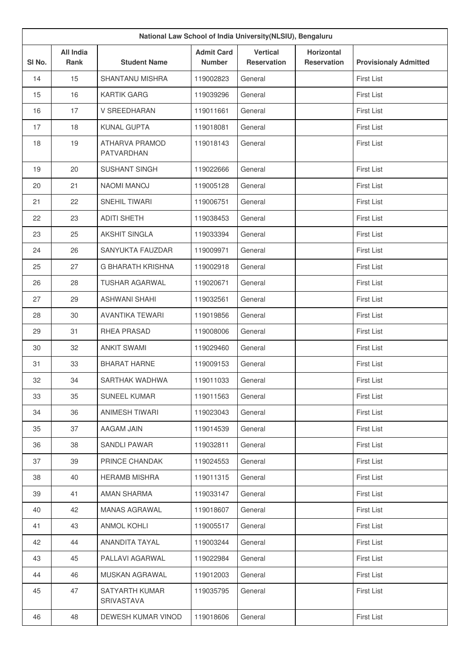| National Law School of India University (NLSIU), Bengaluru |                                 |                                     |                                    |                                       |                                  |                              |
|------------------------------------------------------------|---------------------------------|-------------------------------------|------------------------------------|---------------------------------------|----------------------------------|------------------------------|
| SI <sub>No.</sub>                                          | <b>All India</b><br><b>Rank</b> | <b>Student Name</b>                 | <b>Admit Card</b><br><b>Number</b> | <b>Vertical</b><br><b>Reservation</b> | Horizontal<br><b>Reservation</b> | <b>Provisionaly Admitted</b> |
| 14                                                         | 15                              | <b>SHANTANU MISHRA</b>              | 119002823                          | General                               |                                  | <b>First List</b>            |
| 15                                                         | 16                              | <b>KARTIK GARG</b>                  | 119039296                          | General                               |                                  | <b>First List</b>            |
| 16                                                         | 17                              | V SREEDHARAN                        | 119011661                          | General                               |                                  | <b>First List</b>            |
| 17                                                         | 18                              | <b>KUNAL GUPTA</b>                  | 119018081                          | General                               |                                  | <b>First List</b>            |
| 18                                                         | 19                              | <b>ATHARVA PRAMOD</b><br>PATVARDHAN | 119018143                          | General                               |                                  | <b>First List</b>            |
| 19                                                         | 20                              | <b>SUSHANT SINGH</b>                | 119022666                          | General                               |                                  | <b>First List</b>            |
| 20                                                         | 21                              | <b>NAOMI MANOJ</b>                  | 119005128                          | General                               |                                  | <b>First List</b>            |
| 21                                                         | 22                              | SNEHIL TIWARI                       | 119006751                          | General                               |                                  | <b>First List</b>            |
| 22                                                         | 23                              | <b>ADITI SHETH</b>                  | 119038453                          | General                               |                                  | <b>First List</b>            |
| 23                                                         | 25                              | <b>AKSHIT SINGLA</b>                | 119033394                          | General                               |                                  | <b>First List</b>            |
| 24                                                         | 26                              | SANYUKTA FAUZDAR                    | 119009971                          | General                               |                                  | <b>First List</b>            |
| 25                                                         | 27                              | <b>G BHARATH KRISHNA</b>            | 119002918                          | General                               |                                  | <b>First List</b>            |
| 26                                                         | 28                              | <b>TUSHAR AGARWAL</b>               | 119020671                          | General                               |                                  | <b>First List</b>            |
| 27                                                         | 29                              | <b>ASHWANI SHAHI</b>                | 119032561                          | General                               |                                  | <b>First List</b>            |
| 28                                                         | 30                              | <b>AVANTIKA TEWARI</b>              | 119019856                          | General                               |                                  | <b>First List</b>            |
| 29                                                         | 31                              | RHEA PRASAD                         | 119008006                          | General                               |                                  | <b>First List</b>            |
| 30                                                         | 32                              | <b>ANKIT SWAMI</b>                  | 119029460                          | General                               |                                  | <b>First List</b>            |
| 31                                                         | 33                              | <b>BHARAT HARNE</b>                 | 119009153                          | General                               |                                  | <b>First List</b>            |
| 32                                                         | 34                              | SARTHAK WADHWA                      | 119011033                          | General                               |                                  | <b>First List</b>            |
| 33                                                         | 35                              | <b>SUNEEL KUMAR</b>                 | 119011563                          | General                               |                                  | <b>First List</b>            |
| 34                                                         | 36                              | ANIMESH TIWARI                      | 119023043                          | General                               |                                  | <b>First List</b>            |
| 35                                                         | 37                              | AAGAM JAIN                          | 119014539                          | General                               |                                  | <b>First List</b>            |
| 36                                                         | 38                              | SANDLI PAWAR                        | 119032811                          | General                               |                                  | <b>First List</b>            |
| 37                                                         | 39                              | PRINCE CHANDAK                      | 119024553                          | General                               |                                  | <b>First List</b>            |
| 38                                                         | 40                              | <b>HERAMB MISHRA</b>                | 119011315                          | General                               |                                  | <b>First List</b>            |
| 39                                                         | 41                              | AMAN SHARMA                         | 119033147                          | General                               |                                  | <b>First List</b>            |
| 40                                                         | 42                              | MANAS AGRAWAL                       | 119018607                          | General                               |                                  | <b>First List</b>            |
| 41                                                         | 43                              | <b>ANMOL KOHLI</b>                  | 119005517                          | General                               |                                  | <b>First List</b>            |
| 42                                                         | 44                              | <b>ANANDITA TAYAL</b>               | 119003244                          | General                               |                                  | <b>First List</b>            |
| 43                                                         | 45                              | PALLAVI AGARWAL                     | 119022984                          | General                               |                                  | <b>First List</b>            |
| 44                                                         | 46                              | MUSKAN AGRAWAL                      | 119012003                          | General                               |                                  | <b>First List</b>            |
| 45                                                         | 47                              | SATYARTH KUMAR<br>SRIVASTAVA        | 119035795                          | General                               |                                  | <b>First List</b>            |
| 46                                                         | 48                              | DEWESH KUMAR VINOD                  | 119018606                          | General                               |                                  | First List                   |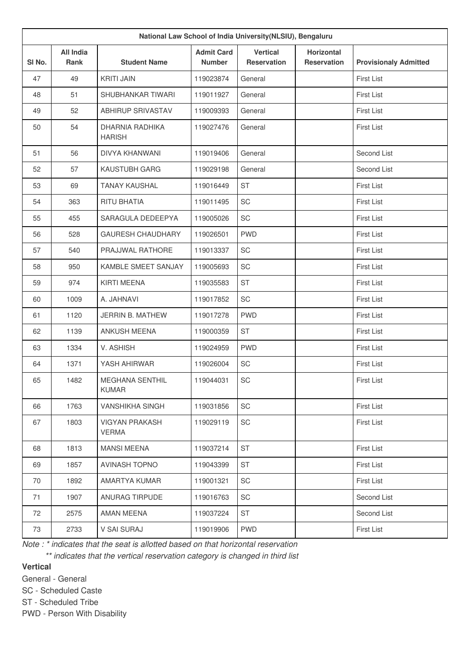| National Law School of India University (NLSIU), Bengaluru |                                 |                                         |                                    |                                       |                                         |                              |
|------------------------------------------------------------|---------------------------------|-----------------------------------------|------------------------------------|---------------------------------------|-----------------------------------------|------------------------------|
| SI No.                                                     | <b>All India</b><br><b>Rank</b> | <b>Student Name</b>                     | <b>Admit Card</b><br><b>Number</b> | <b>Vertical</b><br><b>Reservation</b> | <b>Horizontal</b><br><b>Reservation</b> | <b>Provisionaly Admitted</b> |
| 47                                                         | 49                              | <b>KRITI JAIN</b>                       | 119023874                          | General                               |                                         | <b>First List</b>            |
| 48                                                         | 51                              | SHUBHANKAR TIWARI                       | 119011927                          | General                               |                                         | <b>First List</b>            |
| 49                                                         | 52                              | <b>ABHIRUP SRIVASTAV</b>                | 119009393                          | General                               |                                         | <b>First List</b>            |
| 50                                                         | 54                              | <b>DHARNIA RADHIKA</b><br><b>HARISH</b> | 119027476                          | General                               |                                         | <b>First List</b>            |
| 51                                                         | 56                              | DIVYA KHANWANI                          | 119019406                          | General                               |                                         | Second List                  |
| 52                                                         | 57                              | KAUSTUBH GARG                           | 119029198                          | General                               |                                         | Second List                  |
| 53                                                         | 69                              | <b>TANAY KAUSHAL</b>                    | 119016449                          | <b>ST</b>                             |                                         | <b>First List</b>            |
| 54                                                         | 363                             | <b>RITU BHATIA</b>                      | 119011495                          | SC                                    |                                         | <b>First List</b>            |
| 55                                                         | 455                             | SARAGULA DEDEEPYA                       | 119005026                          | SC                                    |                                         | <b>First List</b>            |
| 56                                                         | 528                             | <b>GAURESH CHAUDHARY</b>                | 119026501                          | <b>PWD</b>                            |                                         | <b>First List</b>            |
| 57                                                         | 540                             | PRAJJWAL RATHORE                        | 119013337                          | SC                                    |                                         | <b>First List</b>            |
| 58                                                         | 950                             | KAMBLE SMEET SANJAY                     | 119005693                          | SC                                    |                                         | <b>First List</b>            |
| 59                                                         | 974                             | <b>KIRTI MEENA</b>                      | 119035583                          | <b>ST</b>                             |                                         | <b>First List</b>            |
| 60                                                         | 1009                            | A. JAHNAVI                              | 119017852                          | SC                                    |                                         | <b>First List</b>            |
| 61                                                         | 1120                            | <b>JERRIN B. MATHEW</b>                 | 119017278                          | <b>PWD</b>                            |                                         | <b>First List</b>            |
| 62                                                         | 1139                            | <b>ANKUSH MEENA</b>                     | 119000359                          | <b>ST</b>                             |                                         | <b>First List</b>            |
| 63                                                         | 1334                            | V. ASHISH                               | 119024959                          | <b>PWD</b>                            |                                         | <b>First List</b>            |
| 64                                                         | 1371                            | YASH AHIRWAR                            | 119026004                          | SC                                    |                                         | <b>First List</b>            |
| 65                                                         | 1482                            | <b>MEGHANA SENTHIL</b><br><b>KUMAR</b>  | 119044031                          | SC                                    |                                         | First List                   |
| 66                                                         | 1763                            | <b>VANSHIKHA SINGH</b>                  | 119031856                          | SC                                    |                                         | <b>First List</b>            |
| 67                                                         | 1803                            | <b>VIGYAN PRAKASH</b><br><b>VERMA</b>   | 119029119                          | SC                                    |                                         | <b>First List</b>            |
| 68                                                         | 1813                            | <b>MANSI MEENA</b>                      | 119037214                          | <b>ST</b>                             |                                         | First List                   |
| 69                                                         | 1857                            | <b>AVINASH TOPNO</b>                    | 119043399                          | <b>ST</b>                             |                                         | <b>First List</b>            |
| 70                                                         | 1892                            | AMARTYA KUMAR                           | 119001321                          | $\protect\operatorname{SC}$           |                                         | First List                   |
| 71                                                         | 1907                            | ANURAG TIRPUDE                          | 119016763                          | SC                                    |                                         | Second List                  |
| 72                                                         | 2575                            | AMAN MEENA                              | 119037224                          | <b>ST</b>                             |                                         | Second List                  |
| 73                                                         | 2733                            | V SAI SURAJ                             | 119019906                          | <b>PWD</b>                            |                                         | First List                   |

*Note : \* indicates that the seat is allotted based on that horizontal reservation*

*\*\* indicates that the vertical reservation category is changed in third list*

# **Vertical**

General - General

SC - Scheduled Caste ST - Scheduled Tribe

PWD - Person With Disability